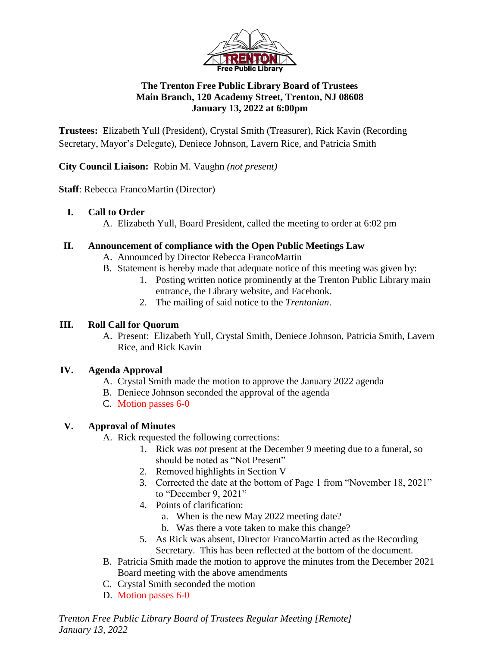

## **The Trenton Free Public Library Board of Trustees Main Branch, 120 Academy Street, Trenton, NJ 08608 January 13, 2022 at 6:00pm**

**Trustees:** Elizabeth Yull (President), Crystal Smith (Treasurer), Rick Kavin (Recording Secretary, Mayor's Delegate), Deniece Johnson, Lavern Rice, and Patricia Smith

**City Council Liaison:** Robin M. Vaughn *(not present)*

**Staff**: Rebecca FrancoMartin (Director)

### **I. Call to Order**

A. Elizabeth Yull, Board President, called the meeting to order at 6:02 pm

## **II. Announcement of compliance with the Open Public Meetings Law**

- A. Announced by Director Rebecca FrancoMartin
- B. Statement is hereby made that adequate notice of this meeting was given by:
	- 1. Posting written notice prominently at the Trenton Public Library main entrance, the Library website, and Facebook.
	- 2. The mailing of said notice to the *Trentonian*.

## **III. Roll Call for Quorum**

A. Present: Elizabeth Yull, Crystal Smith, Deniece Johnson, Patricia Smith, Lavern Rice, and Rick Kavin

## **IV. Agenda Approval**

- A. Crystal Smith made the motion to approve the January 2022 agenda
- B. Deniece Johnson seconded the approval of the agenda
- C. Motion passes 6-0

## **V. Approval of Minutes**

- A. Rick requested the following corrections:
	- 1. Rick was *not* present at the December 9 meeting due to a funeral, so should be noted as "Not Present"
	- 2. Removed highlights in Section V
	- 3. Corrected the date at the bottom of Page 1 from "November 18, 2021" to "December 9, 2021"
	- 4. Points of clarification:
		- a. When is the new May 2022 meeting date?
		- b. Was there a vote taken to make this change?
	- 5. As Rick was absent, Director FrancoMartin acted as the Recording Secretary. This has been reflected at the bottom of the document.
- B. Patricia Smith made the motion to approve the minutes from the December 2021 Board meeting with the above amendments
- C. Crystal Smith seconded the motion
- D. Motion passes 6-0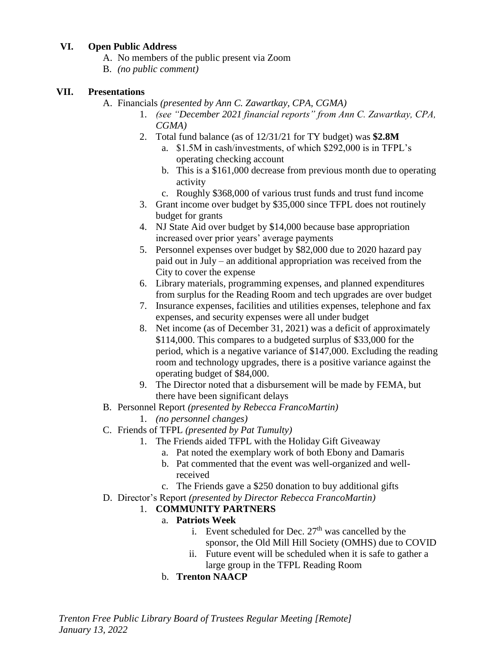#### **VI. Open Public Address**

- A. No members of the public present via Zoom
- B. *(no public comment)*

## **VII. Presentations**

- A. Financials *(presented by Ann C. Zawartkay, CPA, CGMA)*
	- 1. *(see "December 2021 financial reports" from Ann C. Zawartkay, CPA, CGMA)*
	- 2. Total fund balance (as of 12/31/21 for TY budget) was **\$2.8M**
		- a. \$1.5M in cash/investments, of which \$292,000 is in TFPL's operating checking account
		- b. This is a \$161,000 decrease from previous month due to operating activity
		- c. Roughly \$368,000 of various trust funds and trust fund income
	- 3. Grant income over budget by \$35,000 since TFPL does not routinely budget for grants
	- 4. NJ State Aid over budget by \$14,000 because base appropriation increased over prior years' average payments
	- 5. Personnel expenses over budget by \$82,000 due to 2020 hazard pay paid out in July – an additional appropriation was received from the City to cover the expense
	- 6. Library materials, programming expenses, and planned expenditures from surplus for the Reading Room and tech upgrades are over budget
	- 7. Insurance expenses, facilities and utilities expenses, telephone and fax expenses, and security expenses were all under budget
	- 8. Net income (as of December 31, 2021) was a deficit of approximately \$114,000. This compares to a budgeted surplus of \$33,000 for the period, which is a negative variance of \$147,000. Excluding the reading room and technology upgrades, there is a positive variance against the operating budget of \$84,000.
	- 9. The Director noted that a disbursement will be made by FEMA, but there have been significant delays
	- B. Personnel Report *(presented by Rebecca FrancoMartin)*
		- 1. *(no personnel changes)*
- C. Friends of TFPL *(presented by Pat Tumulty)*
	- 1. The Friends aided TFPL with the Holiday Gift Giveaway
		- a. Pat noted the exemplary work of both Ebony and Damaris
		- b. Pat commented that the event was well-organized and wellreceived
		- c. The Friends gave a \$250 donation to buy additional gifts
- D. Director's Report *(presented by Director Rebecca FrancoMartin)*

## 1. **COMMUNITY PARTNERS**

## a. **Patriots Week**

- i. Event scheduled for Dec.  $27<sup>th</sup>$  was cancelled by the sponsor, the Old Mill Hill Society (OMHS) due to COVID
- ii. Future event will be scheduled when it is safe to gather a large group in the TFPL Reading Room
- b. **Trenton NAACP**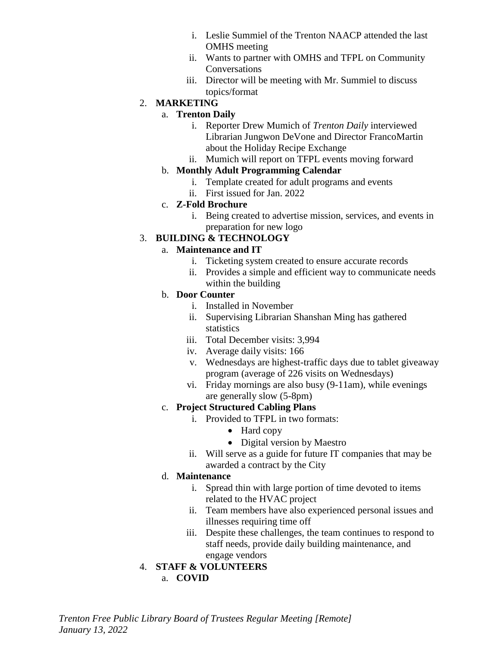- i. Leslie Summiel of the Trenton NAACP attended the last OMHS meeting
- ii. Wants to partner with OMHS and TFPL on Community **Conversations**
- iii. Director will be meeting with Mr. Summiel to discuss topics/format

## 2. **MARKETING**

## a. **Trenton Daily**

- i. Reporter Drew Mumich of *Trenton Daily* interviewed Librarian Jungwon DeVone and Director FrancoMartin about the Holiday Recipe Exchange
- ii. Mumich will report on TFPL events moving forward

## b. **Monthly Adult Programming Calendar**

- i. Template created for adult programs and events
- ii. First issued for Jan. 2022

### c. **Z-Fold Brochure**

i. Being created to advertise mission, services, and events in preparation for new logo

## 3. **BUILDING & TECHNOLOGY**

### a. **Maintenance and IT**

- i. Ticketing system created to ensure accurate records
- ii. Provides a simple and efficient way to communicate needs within the building

### b. **Door Counter**

- i. Installed in November
- ii. Supervising Librarian Shanshan Ming has gathered statistics
- iii. Total December visits: 3,994
- iv. Average daily visits: 166
- v. Wednesdays are highest-traffic days due to tablet giveaway program (average of 226 visits on Wednesdays)
- vi. Friday mornings are also busy (9-11am), while evenings are generally slow (5-8pm)

## c. **Project Structured Cabling Plans**

- i. Provided to TFPL in two formats:
	- Hard copy
	- Digital version by Maestro
- ii. Will serve as a guide for future IT companies that may be awarded a contract by the City

## d. **Maintenance**

- i. Spread thin with large portion of time devoted to items related to the HVAC project
- ii. Team members have also experienced personal issues and illnesses requiring time off
- iii. Despite these challenges, the team continues to respond to staff needs, provide daily building maintenance, and engage vendors

## 4. **STAFF & VOLUNTEERS**

a. **COVID**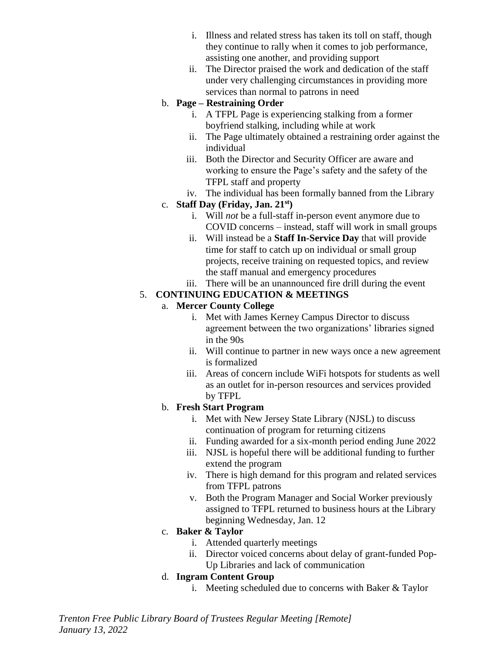- i. Illness and related stress has taken its toll on staff, though they continue to rally when it comes to job performance, assisting one another, and providing support
- ii. The Director praised the work and dedication of the staff under very challenging circumstances in providing more services than normal to patrons in need

## b. **Page – Restraining Order**

- i. A TFPL Page is experiencing stalking from a former boyfriend stalking, including while at work
- ii. The Page ultimately obtained a restraining order against the individual
- iii. Both the Director and Security Officer are aware and working to ensure the Page's safety and the safety of the TFPL staff and property
- iv. The individual has been formally banned from the Library

## c. **Staff Day (Friday, Jan. 21st)**

- i. Will *not* be a full-staff in-person event anymore due to COVID concerns – instead, staff will work in small groups
- ii. Will instead be a **Staff In-Service Day** that will provide time for staff to catch up on individual or small group projects, receive training on requested topics, and review the staff manual and emergency procedures
- iii. There will be an unannounced fire drill during the event

## 5. **CONTINUING EDUCATION & MEETINGS**

## a. **Mercer County College**

- i. Met with James Kerney Campus Director to discuss agreement between the two organizations' libraries signed in the 90s
- ii. Will continue to partner in new ways once a new agreement is formalized
- iii. Areas of concern include WiFi hotspots for students as well as an outlet for in-person resources and services provided by TFPL

#### b. **Fresh Start Program**

- i. Met with New Jersey State Library (NJSL) to discuss continuation of program for returning citizens
- ii. Funding awarded for a six-month period ending June 2022
- iii. NJSL is hopeful there will be additional funding to further extend the program
- iv. There is high demand for this program and related services from TFPL patrons
- v. Both the Program Manager and Social Worker previously assigned to TFPL returned to business hours at the Library beginning Wednesday, Jan. 12

#### c. **Baker & Taylor**

- i. Attended quarterly meetings
- ii. Director voiced concerns about delay of grant-funded Pop-Up Libraries and lack of communication

#### d. **Ingram Content Group**

i. Meeting scheduled due to concerns with Baker & Taylor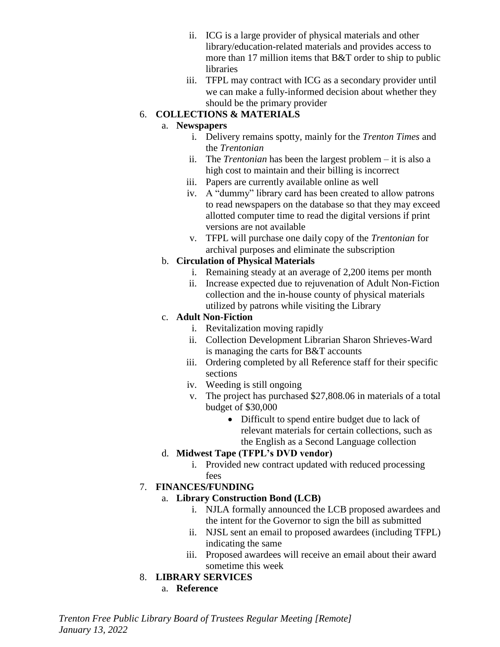- ii. ICG is a large provider of physical materials and other library/education-related materials and provides access to more than 17 million items that B&T order to ship to public libraries
- iii. TFPL may contract with ICG as a secondary provider until we can make a fully-informed decision about whether they should be the primary provider

## 6. **COLLECTIONS & MATERIALS**

## a. **Newspapers**

- i. Delivery remains spotty, mainly for the *Trenton Times* and the *Trentonian*
- ii. The *Trentonian* has been the largest problem it is also a high cost to maintain and their billing is incorrect
- iii. Papers are currently available online as well
- iv. A "dummy" library card has been created to allow patrons to read newspapers on the database so that they may exceed allotted computer time to read the digital versions if print versions are not available
- v. TFPL will purchase one daily copy of the *Trentonian* for archival purposes and eliminate the subscription

## b. **Circulation of Physical Materials**

- i. Remaining steady at an average of 2,200 items per month
- ii. Increase expected due to rejuvenation of Adult Non-Fiction collection and the in-house county of physical materials utilized by patrons while visiting the Library

## c. **Adult Non-Fiction**

- i. Revitalization moving rapidly
- ii. Collection Development Librarian Sharon Shrieves-Ward is managing the carts for B&T accounts
- iii. Ordering completed by all Reference staff for their specific sections
- iv. Weeding is still ongoing
- v. The project has purchased \$27,808.06 in materials of a total budget of \$30,000
	- Difficult to spend entire budget due to lack of relevant materials for certain collections, such as the English as a Second Language collection

## d. **Midwest Tape (TFPL's DVD vendor)**

i. Provided new contract updated with reduced processing fees

## 7. **FINANCES/FUNDING**

## a. **Library Construction Bond (LCB)**

- i. NJLA formally announced the LCB proposed awardees and the intent for the Governor to sign the bill as submitted
- ii. NJSL sent an email to proposed awardees (including TFPL) indicating the same
- iii. Proposed awardees will receive an email about their award sometime this week

## 8. **LIBRARY SERVICES**

a. **Reference**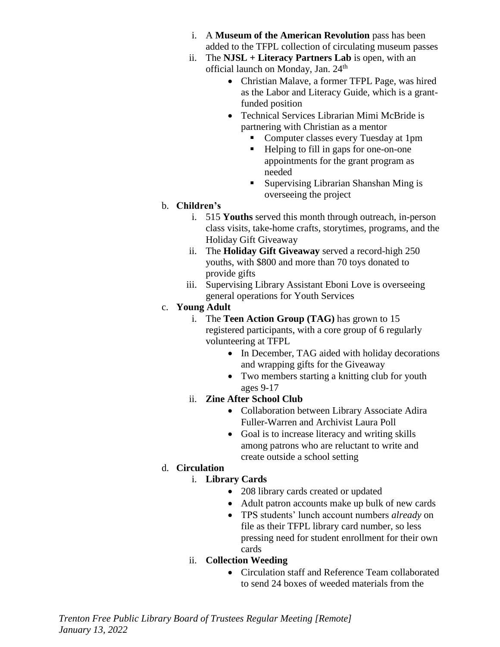- i. A **Museum of the American Revolution** pass has been added to the TFPL collection of circulating museum passes
- ii. The **NJSL + Literacy Partners Lab** is open, with an official launch on Monday, Jan. 24<sup>th</sup>
	- Christian Malave, a former TFPL Page, was hired as the Labor and Literacy Guide, which is a grantfunded position
	- Technical Services Librarian Mimi McBride is partnering with Christian as a mentor
		- Computer classes every Tuesday at 1pm
		- Helping to fill in gaps for one-on-one appointments for the grant program as needed
		- Supervising Librarian Shanshan Ming is overseeing the project

## b. **Children's**

- i. 515 **Youths** served this month through outreach, in-person class visits, take-home crafts, storytimes, programs, and the Holiday Gift Giveaway
- ii. The **Holiday Gift Giveaway** served a record-high 250 youths, with \$800 and more than 70 toys donated to provide gifts
- iii. Supervising Library Assistant Eboni Love is overseeing general operations for Youth Services

# c. **Young Adult**

- i. The **Teen Action Group (TAG)** has grown to 15 registered participants, with a core group of 6 regularly volunteering at TFPL
	- In December, TAG aided with holiday decorations and wrapping gifts for the Giveaway
	- Two members starting a knitting club for youth ages 9-17
- ii. **Zine After School Club**
	- Collaboration between Library Associate Adira Fuller-Warren and Archivist Laura Poll
	- Goal is to increase literacy and writing skills among patrons who are reluctant to write and create outside a school setting

# d. **Circulation**

- i. **Library Cards**
	- 208 library cards created or updated
	- Adult patron accounts make up bulk of new cards
	- TPS students' lunch account numbers *already* on file as their TFPL library card number, so less pressing need for student enrollment for their own cards

# ii. **Collection Weeding**

• Circulation staff and Reference Team collaborated to send 24 boxes of weeded materials from the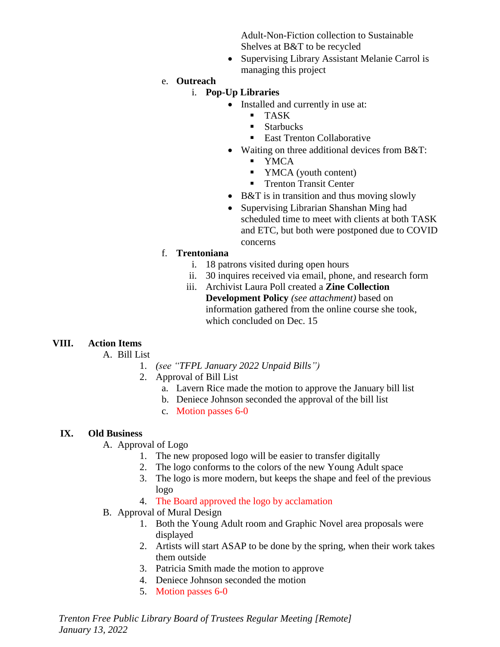Adult-Non-Fiction collection to Sustainable Shelves at B&T to be recycled

• Supervising Library Assistant Melanie Carrol is managing this project

### e. **Outreach**

## i. **Pop-Up Libraries**

- Installed and currently in use at:
	- TASK<br>■ Starbuc
	- **Starbucks**
	- East Trenton Collaborative
- Waiting on three additional devices from B&T:
	- YMCA
	- YMCA (youth content)
	- Trenton Transit Center
- B&T is in transition and thus moving slowly
- Supervising Librarian Shanshan Ming had scheduled time to meet with clients at both TASK and ETC, but both were postponed due to COVID concerns

### f. **Trentoniana**

- i. 18 patrons visited during open hours
- ii. 30 inquires received via email, phone, and research form
- iii. Archivist Laura Poll created a **Zine Collection Development Policy** *(see attachment)* based on information gathered from the online course she took, which concluded on Dec. 15

## **VIII. Action Items**

## A. Bill List

- 1. *(see "TFPL January 2022 Unpaid Bills")*
- 2. Approval of Bill List
	- a. Lavern Rice made the motion to approve the January bill list
	- b. Deniece Johnson seconded the approval of the bill list
	- c. Motion passes 6-0

#### **IX. Old Business**

- A. Approval of Logo
	- 1. The new proposed logo will be easier to transfer digitally
	- 2. The logo conforms to the colors of the new Young Adult space
	- 3. The logo is more modern, but keeps the shape and feel of the previous logo
	- 4. The Board approved the logo by acclamation
- B. Approval of Mural Design
	- 1. Both the Young Adult room and Graphic Novel area proposals were displayed
	- 2. Artists will start ASAP to be done by the spring, when their work takes them outside
	- 3. Patricia Smith made the motion to approve
	- 4. Deniece Johnson seconded the motion
	- 5. Motion passes 6-0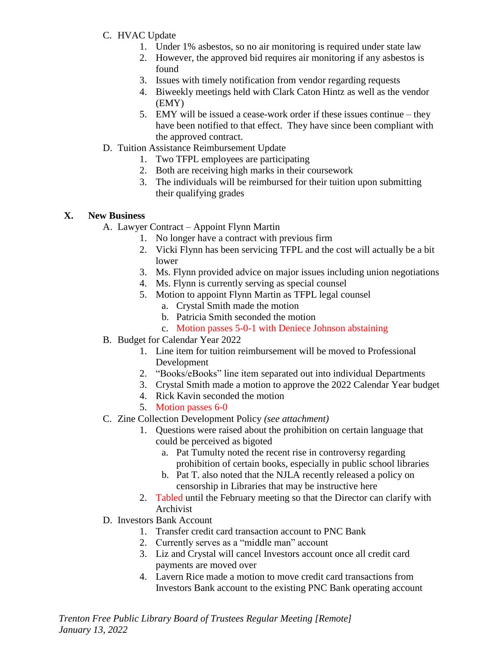- C. HVAC Update
	- 1. Under 1% asbestos, so no air monitoring is required under state law
	- 2. However, the approved bid requires air monitoring if any asbestos is found
	- 3. Issues with timely notification from vendor regarding requests
	- 4. Biweekly meetings held with Clark Caton Hintz as well as the vendor (EMY)
	- 5. EMY will be issued a cease-work order if these issues continue they have been notified to that effect. They have since been compliant with the approved contract.
- D. Tuition Assistance Reimbursement Update
	- 1. Two TFPL employees are participating
	- 2. Both are receiving high marks in their coursework
	- 3. The individuals will be reimbursed for their tuition upon submitting their qualifying grades

### **X. New Business**

- A. Lawyer Contract Appoint Flynn Martin
	- 1. No longer have a contract with previous firm
	- 2. Vicki Flynn has been servicing TFPL and the cost will actually be a bit lower
	- 3. Ms. Flynn provided advice on major issues including union negotiations
	- 4. Ms. Flynn is currently serving as special counsel
	- 5. Motion to appoint Flynn Martin as TFPL legal counsel
		- a. Crystal Smith made the motion
		- b. Patricia Smith seconded the motion
		- c. Motion passes 5-0-1 with Deniece Johnson abstaining
- B. Budget for Calendar Year 2022
	- 1. Line item for tuition reimbursement will be moved to Professional Development
	- 2. "Books/eBooks" line item separated out into individual Departments
	- 3. Crystal Smith made a motion to approve the 2022 Calendar Year budget
	- 4. Rick Kavin seconded the motion
	- 5. Motion passes 6-0
- C. Zine Collection Development Policy *(see attachment)*
	- 1. Questions were raised about the prohibition on certain language that could be perceived as bigoted
		- a. Pat Tumulty noted the recent rise in controversy regarding prohibition of certain books, especially in public school libraries
		- b. Pat T. also noted that the NJLA recently released a policy on censorship in Libraries that may be instructive here
	- 2. Tabled until the February meeting so that the Director can clarify with Archivist
- D. Investors Bank Account
	- 1. Transfer credit card transaction account to PNC Bank
	- 2. Currently serves as a "middle man" account
	- 3. Liz and Crystal will cancel Investors account once all credit card payments are moved over
	- 4. Lavern Rice made a motion to move credit card transactions from Investors Bank account to the existing PNC Bank operating account